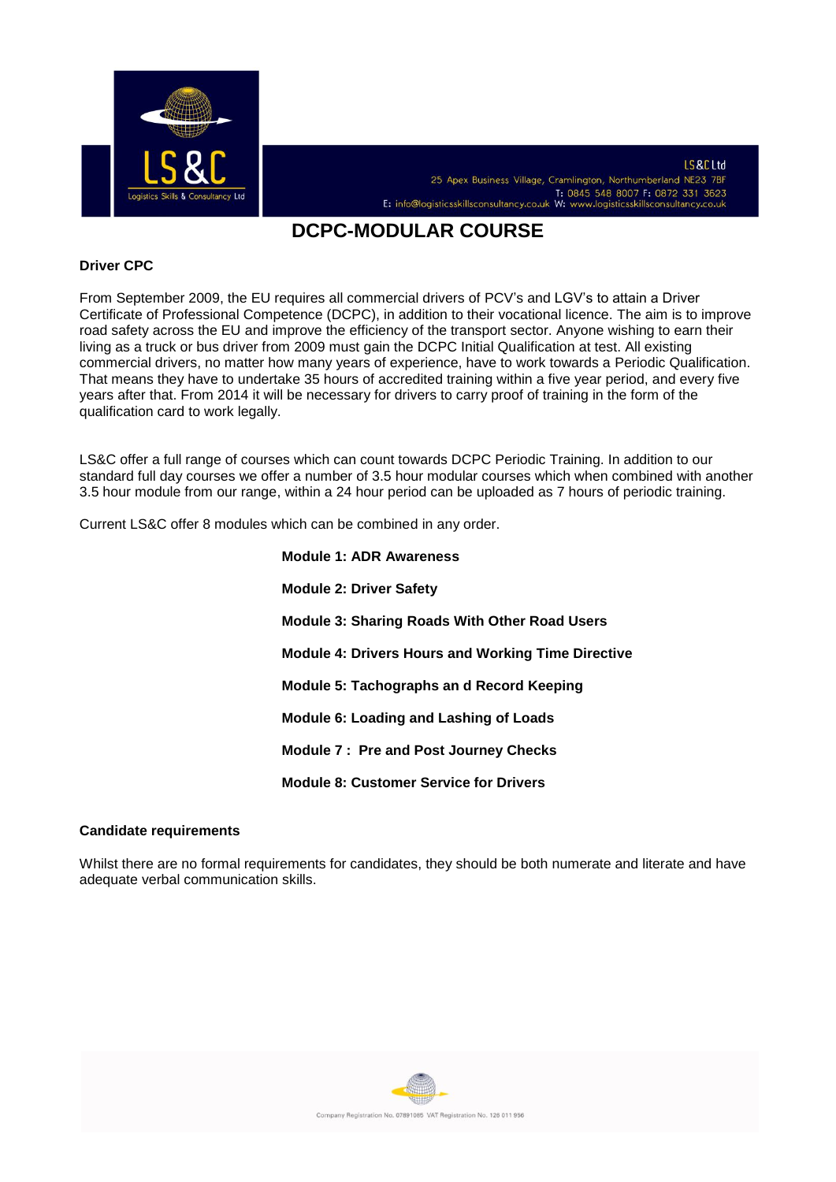

# **DCPC-MODULAR COURSE**

#### **Driver CPC**

From September 2009, the EU requires all commercial drivers of PCV's and LGV's to attain a Driver Certificate of Professional Competence (DCPC), in addition to their vocational licence. The aim is to improve road safety across the EU and improve the efficiency of the transport sector. Anyone wishing to earn their living as a truck or bus driver from 2009 must gain the DCPC Initial Qualification at test. All existing commercial drivers, no matter how many years of experience, have to work towards a Periodic Qualification. That means they have to undertake 35 hours of accredited training within a five year period, and every five years after that. From 2014 it will be necessary for drivers to carry proof of training in the form of the qualification card to work legally.

LS&C offer a full range of courses which can count towards DCPC Periodic Training. In addition to our standard full day courses we offer a number of 3.5 hour modular courses which when combined with another 3.5 hour module from our range, within a 24 hour period can be uploaded as 7 hours of periodic training.

Current LS&C offer 8 modules which can be combined in any order.

**Module 1: ADR Awareness Module 2: Driver Safety Module 3: Sharing Roads With Other Road Users Module 4: Drivers Hours and Working Time Directive Module 5: Tachographs an d Record Keeping Module 6: Loading and Lashing of Loads Module 7 : Pre and Post Journey Checks Module 8: Customer Service for Drivers** 

#### **Candidate requirements**

Whilst there are no formal requirements for candidates, they should be both numerate and literate and have adequate verbal communication skills.

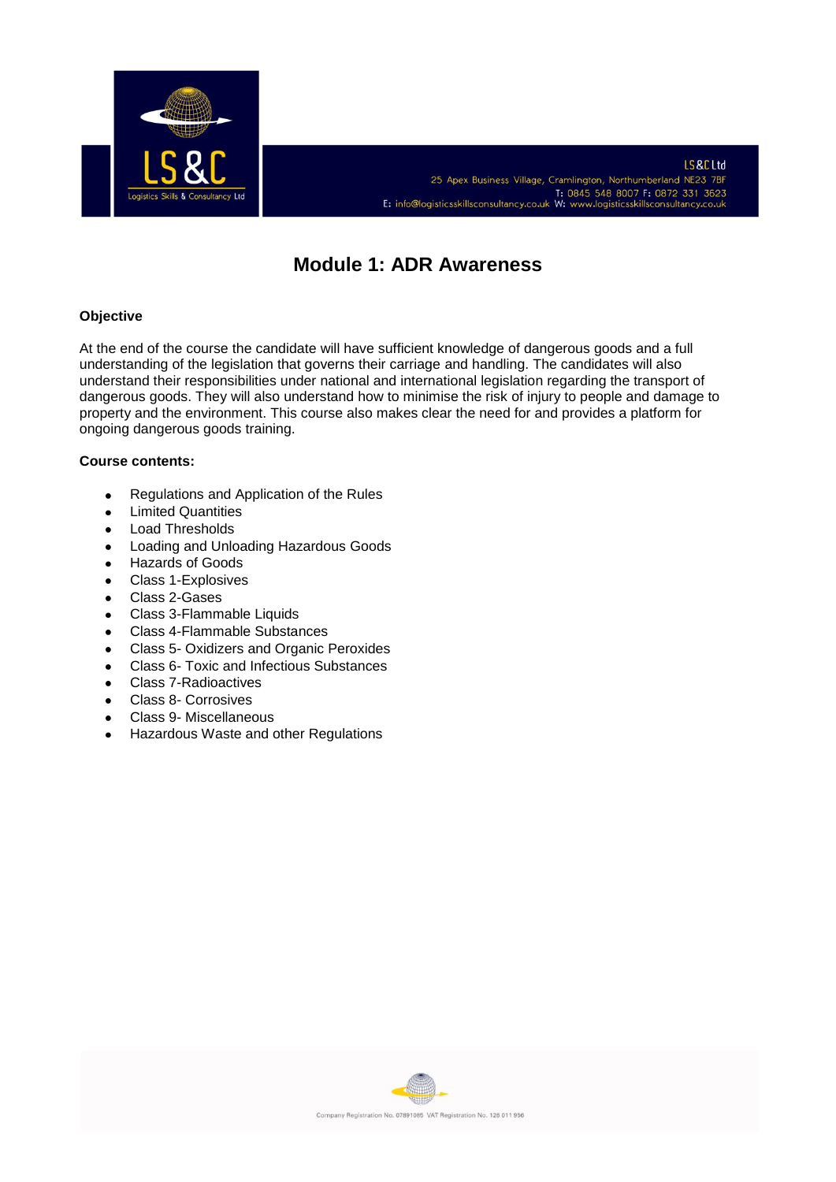

# **Module 1: ADR Awareness**

## **Objective**

At the end of the course the candidate will have sufficient knowledge of dangerous goods and a full understanding of the legislation that governs their carriage and handling. The candidates will also understand their responsibilities under national and international legislation regarding the transport of dangerous goods. They will also understand how to minimise the risk of injury to people and damage to property and the environment. This course also makes clear the need for and provides a platform for ongoing dangerous goods training.

- Regulations and Application of the Rules  $\bullet$
- Limited Quantities  $\bullet$
- Load Thresholds  $\bullet$
- Loading and Unloading Hazardous Goods  $\bullet$
- Hazards of Goods  $\bullet$
- Class 1-Explosives  $\bullet$
- Class 2-Gases  $\bullet$
- Class 3-Flammable Liquids  $\bullet$
- Class 4-Flammable Substances  $\bullet$
- Class 5- Oxidizers and Organic Peroxides  $\bullet$
- Class 6- Toxic and Infectious Substances  $\bullet$
- Class 7-Radioactives  $\bullet$
- Class 8- Corrosives  $\bullet$
- Class 9- Miscellaneous  $\bullet$
- Hazardous Waste and other Regulations $\bullet$

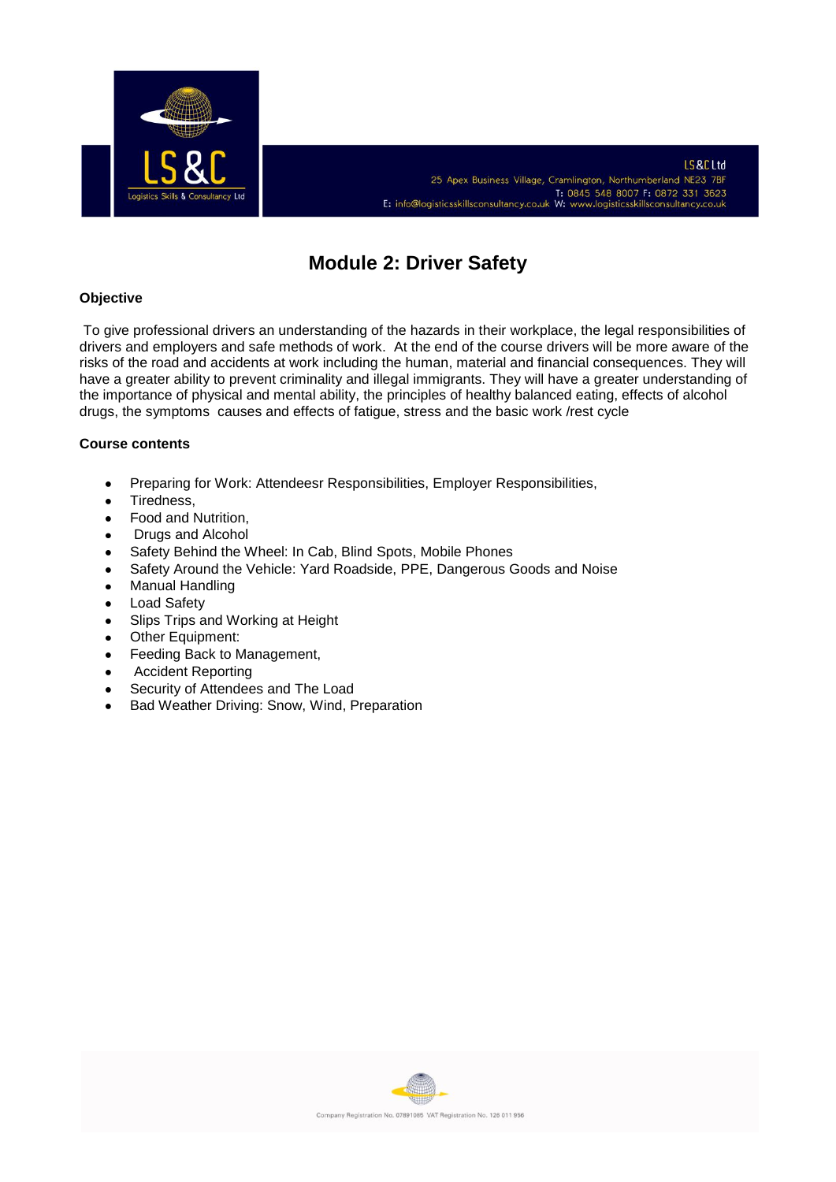

# **Module 2: Driver Safety**

## **Objective**

To give professional drivers an understanding of the hazards in their workplace, the legal responsibilities of drivers and employers and safe methods of work. At the end of the course drivers will be more aware of the risks of the road and accidents at work including the human, material and financial consequences. They will have a greater ability to prevent criminality and illegal immigrants. They will have a greater understanding of the importance of physical and mental ability, the principles of healthy balanced eating, effects of alcohol drugs, the symptoms causes and effects of fatigue, stress and the basic work /rest cycle

- Preparing for Work: Attendeesr Responsibilities, Employer Responsibilities,  $\bullet$
- $\bullet$ Tiredness,
- Food and Nutrition,  $\bullet$
- Drugs and Alcohol  $\epsilon$
- Safety Behind the Wheel: In Cab, Blind Spots, Mobile Phones  $\bullet$
- Safety Around the Vehicle: Yard Roadside, PPE, Dangerous Goods and Noise  $\bullet$
- Manual Handling  $\bullet$
- Load Safety  $\bullet$
- Slips Trips and Working at Height  $\bullet$
- Other Equipment:  $\bullet$
- Feeding Back to Management,  $\bullet$
- Accident Reporting  $\bullet$
- Security of Attendees and The Load  $\bullet$
- Bad Weather Driving: Snow, Wind, Preparation

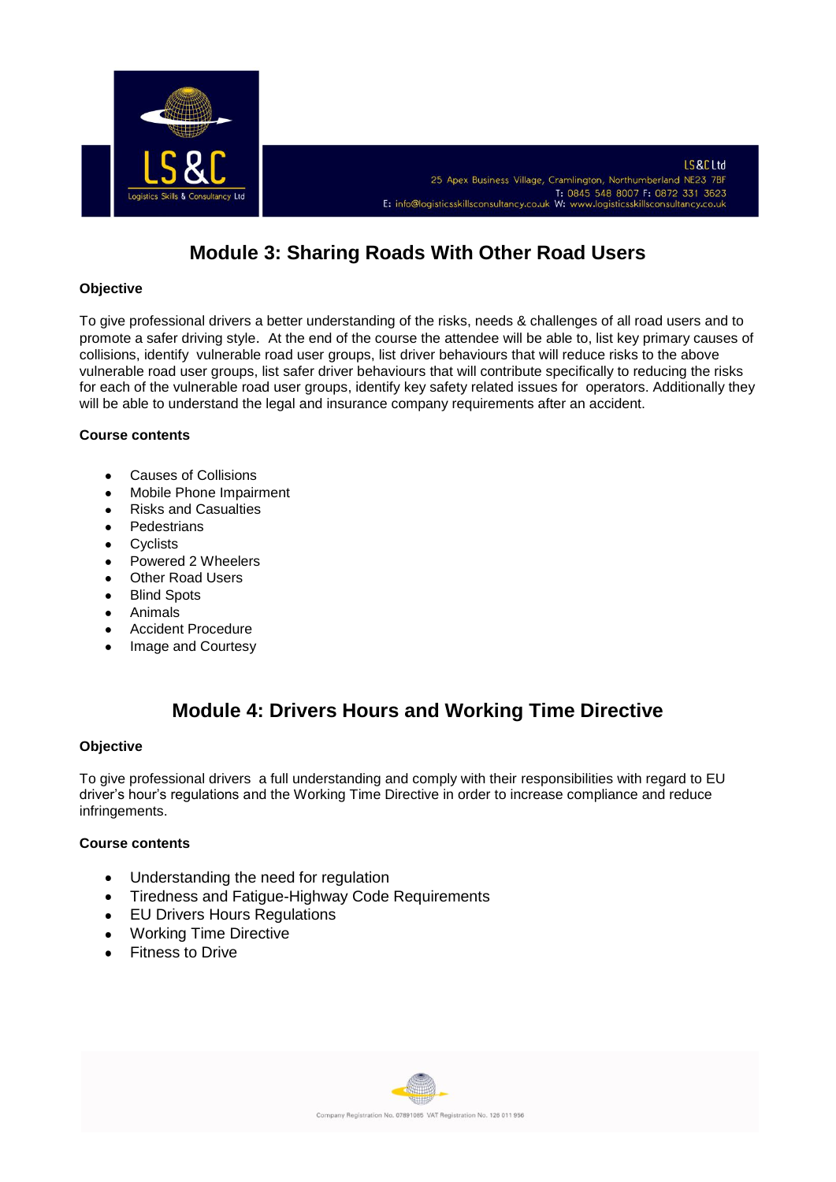

# **Module 3: Sharing Roads With Other Road Users**

## **Objective**

To give professional drivers a better understanding of the risks, needs & challenges of all road users and to promote a safer driving style. At the end of the course the attendee will be able to, list key primary causes of collisions, identify vulnerable road user groups, list driver behaviours that will reduce risks to the above vulnerable road user groups, list safer driver behaviours that will contribute specifically to reducing the risks for each of the vulnerable road user groups, identify key safety related issues for operators. Additionally they will be able to understand the legal and insurance company requirements after an accident.

## **Course contents**

- Causes of Collisions  $\ddot{\phantom{a}}$
- Mobile Phone Impairment  $\bullet$
- Risks and Casualties  $\bullet$
- **Pedestrians**  $\bullet$
- **Cyclists**  $\bullet$
- Powered 2 Wheelers  $\bullet$
- Other Road Users  $\bullet$
- $\bullet$ Blind Spots
- Animals  $\bullet$
- Accident Procedure
- Image and Courtesy  $\bullet$

# **Module 4: Drivers Hours and Working Time Directive**

## **Objective**

To give professional drivers a full understanding and comply with their responsibilities with regard to EU driver's hour's regulations and the Working Time Directive in order to increase compliance and reduce infringements.

- Understanding the need for regulation  $\bullet$
- Tiredness and Fatigue-Highway Code Requirements  $\bullet$
- EU Drivers Hours Regulations  $\bullet$
- Working Time Directive
- Fitness to Drive

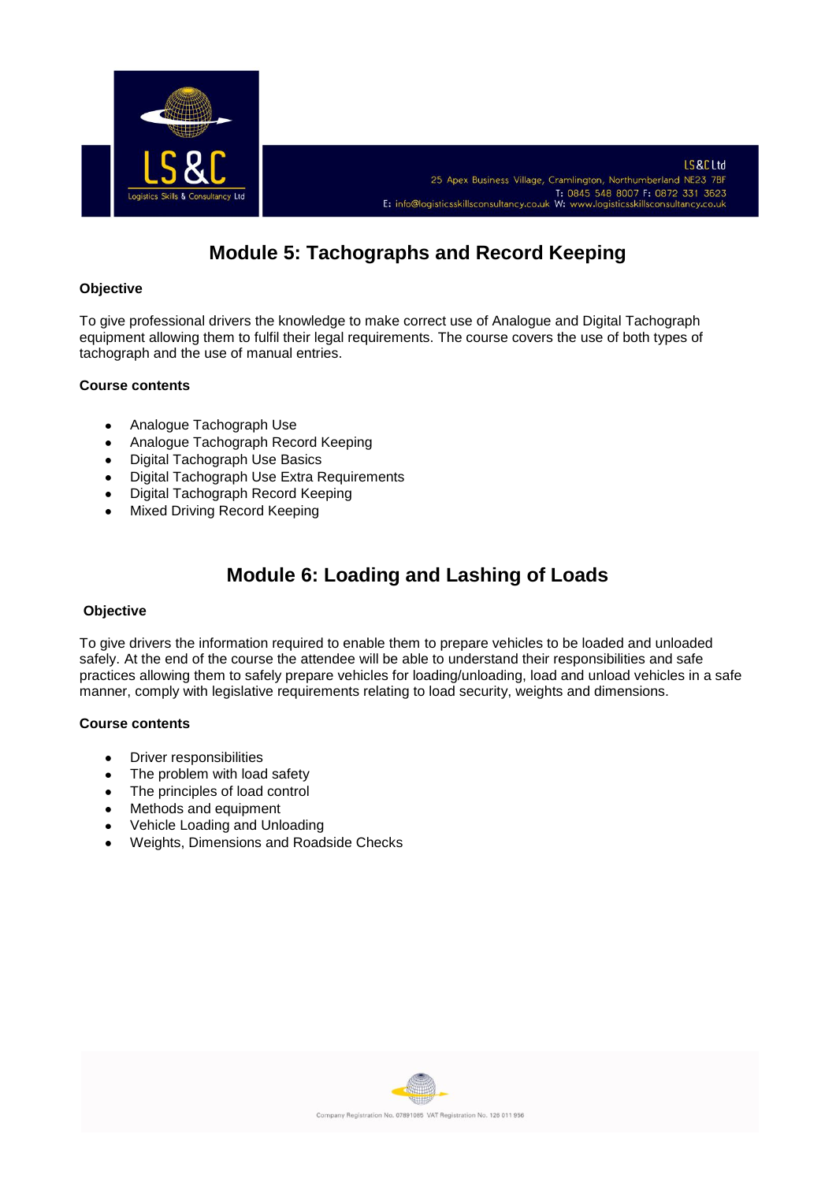

# **Module 5: Tachographs and Record Keeping**

### **Objective**

To give professional drivers the knowledge to make correct use of Analogue and Digital Tachograph equipment allowing them to fulfil their legal requirements. The course covers the use of both types of tachograph and the use of manual entries.

#### **Course contents**

- Analogue Tachograph Use  $\bullet$
- Analogue Tachograph Record Keeping  $\bullet$
- Digital Tachograph Use Basics  $\bullet$
- Digital Tachograph Use Extra Requirements
- Digital Tachograph Record Keeping  $\bullet$
- Mixed Driving Record Keeping

# **Module 6: Loading and Lashing of Loads**

#### **Objective**

To give drivers the information required to enable them to prepare vehicles to be loaded and unloaded safely. At the end of the course the attendee will be able to understand their responsibilities and safe practices allowing them to safely prepare vehicles for loading/unloading, load and unload vehicles in a safe manner, comply with legislative requirements relating to load security, weights and dimensions.

- Driver responsibilities  $\bullet$
- The problem with load safety  $\bullet$
- $\bullet$ The principles of load control
- Methods and equipment
- Vehicle Loading and Unloading  $\bullet$
- Weights, Dimensions and Roadside Checks